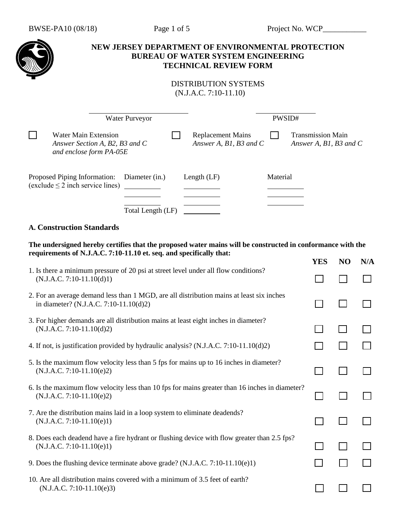# **NEW JERSEY DEPARTMENT OF ENVIRONMENTAL PROTECTION BUREAU OF WATER SYSTEM ENGINEERING TECHNICAL REVIEW FORM** DISTRIBUTION SYSTEMS (N.J.A.C. 7:10-11.10) Water Purveyor PWSID#  $\Box$ Water Main Extension **Replacement Mains** Transmission Main *Answer Section A, B2, B3 and C Answer A, B1, B3 and C Answer A, B1, B3 and C and enclose form PA-05E*  Proposed Piping Information: Diameter (in.) Length (LF) Material  $(exclude \leq 2$  inch service lines) Total Length (LF)

## **A. Construction Standards**

| The undersigned hereby certifies that the proposed water mains will be constructed in conformance with the |     |                |             |
|------------------------------------------------------------------------------------------------------------|-----|----------------|-------------|
| requirements of N.J.A.C. 7:10-11.10 et. seq. and specifically that:                                        |     |                |             |
|                                                                                                            | VFS | N <sub>0</sub> | $N/\Lambda$ |

|                                                                                                                                    | <b>LED</b> | IV | 14/ <i>8</i> |
|------------------------------------------------------------------------------------------------------------------------------------|------------|----|--------------|
| 1. Is there a minimum pressure of 20 psi at street level under all flow conditions?<br>$(N.J.A.C. 7:10-11.10(d)1)$                 |            |    |              |
| 2. For an average demand less than 1 MGD, are all distribution mains at least six inches<br>in diameter? (N.J.A.C. 7:10-11.10(d)2) |            |    |              |
| 3. For higher demands are all distribution mains at least eight inches in diameter?<br>$(N.J.A.C. 7:10-11.10(d)2)$                 |            |    |              |
| 4. If not, is justification provided by hydraulic analysis? (N.J.A.C. 7:10-11.10(d)2)                                              |            |    |              |
| 5. Is the maximum flow velocity less than 5 fps for mains up to 16 inches in diameter?<br>$(N.J.A.C. 7:10-11.10(e)2)$              |            |    |              |
| 6. Is the maximum flow velocity less than 10 fps for mains greater than 16 inches in diameter?<br>$(N.J.A.C. 7:10-11.10(e)2)$      |            |    |              |
| 7. Are the distribution mains laid in a loop system to eliminate deadends?<br>$(N.J.A.C. 7:10-11.10(e)1)$                          |            |    |              |
| 8. Does each deadend have a fire hydrant or flushing device with flow greater than 2.5 fps?<br>$(N.J.A.C. 7:10-11.10(e)1)$         |            |    |              |
| 9. Does the flushing device terminate above grade? (N.J.A.C. $7:10-11.10(e)1$ )                                                    |            |    |              |
| 10. Are all distribution mains covered with a minimum of 3.5 feet of earth?<br>$(N.J.A.C. 7:10-11.10(e)3)$                         |            |    |              |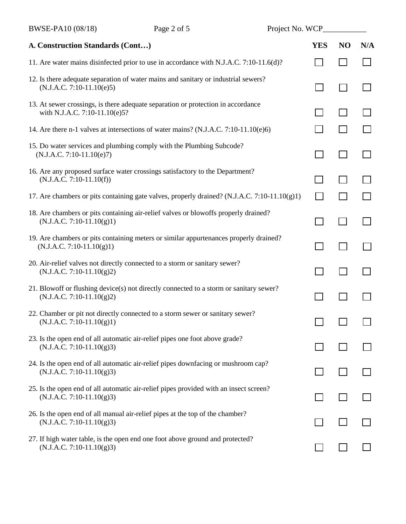| A. Construction Standards (Cont)                                                                                      | <b>YES</b> | N <sub>O</sub> | N/A |
|-----------------------------------------------------------------------------------------------------------------------|------------|----------------|-----|
| 11. Are water mains disinfected prior to use in accordance with N.J.A.C. 7:10-11.6(d)?                                |            |                |     |
| 12. Is there adequate separation of water mains and sanitary or industrial sewers?<br>$(N.J.A.C. 7:10-11.10(e)5)$     |            |                |     |
| 13. At sewer crossings, is there adequate separation or protection in accordance<br>with N.J.A.C. 7:10-11.10(e)5?     |            |                |     |
| 14. Are there n-1 valves at intersections of water mains? $(N.J.A.C. 7:10-11.10(e)6)$                                 |            |                |     |
| 15. Do water services and plumbing comply with the Plumbing Subcode?<br>$(N.J.A.C. 7:10-11.10(e)7)$                   |            |                |     |
| 16. Are any proposed surface water crossings satisfactory to the Department?<br>$(N.J.A.C. 7:10-11.10(f))$            |            |                |     |
| 17. Are chambers or pits containing gate valves, properly drained? (N.J.A.C. 7:10-11.10(g)1)                          |            |                |     |
| 18. Are chambers or pits containing air-relief valves or blowoffs properly drained?<br>$(N.J.A.C. 7:10-11.10(g)1)$    |            |                |     |
| 19. Are chambers or pits containing meters or similar appurtenances properly drained?<br>$(N.J.A.C. 7:10-11.10(g)1)$  |            |                |     |
| 20. Air-relief valves not directly connected to a storm or sanitary sewer?<br>$(N.J.A.C. 7:10-11.10(g)2)$             |            |                |     |
| 21. Blowoff or flushing device(s) not directly connected to a storm or sanitary sewer?<br>$(N.J.A.C. 7:10-11.10(g)2)$ |            |                |     |
| 22. Chamber or pit not directly connected to a storm sewer or sanitary sewer?<br>$(N.J.A.C. 7:10-11.10(g)1)$          |            |                |     |
| 23. Is the open end of all automatic air-relief pipes one foot above grade?<br>$(N.J.A.C. 7:10-11.10(g)3)$            |            |                |     |
| 24. Is the open end of all automatic air-relief pipes downfacing or mushroom cap?<br>$(N.J.A.C. 7:10-11.10(g)3)$      |            |                |     |
| 25. Is the open end of all automatic air-relief pipes provided with an insect screen?<br>$(N.J.A.C. 7:10-11.10(g)3)$  |            |                |     |
| 26. Is the open end of all manual air-relief pipes at the top of the chamber?<br>$(N.J.A.C. 7:10-11.10(g)3)$          |            |                |     |
| 27. If high water table, is the open end one foot above ground and protected?<br>$(N.J.A.C. 7:10-11.10(g)3)$          |            |                |     |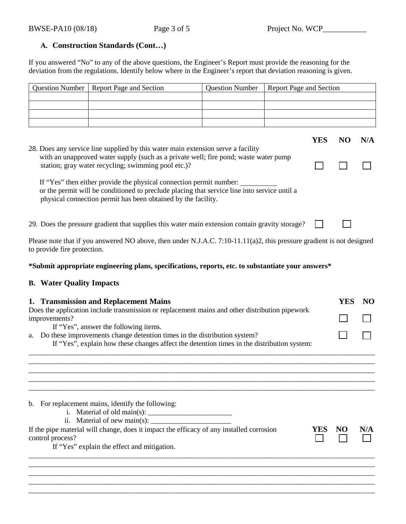## **A. Construction Standards (Cont…)**

If you answered "No" to any of the above questions, the Engineer's Report must provide the reasoning for the deviation from the regulations. Identify below where in the Engineer's report that deviation reasoning is given.

| <b>Question Number</b>                                                                                                                                                    | Report Page and Section                                                                                                                                                                                                              | <b>Question Number</b> | Report Page and Section |            |            |     |
|---------------------------------------------------------------------------------------------------------------------------------------------------------------------------|--------------------------------------------------------------------------------------------------------------------------------------------------------------------------------------------------------------------------------------|------------------------|-------------------------|------------|------------|-----|
|                                                                                                                                                                           |                                                                                                                                                                                                                                      |                        |                         |            |            |     |
|                                                                                                                                                                           |                                                                                                                                                                                                                                      |                        |                         |            |            |     |
|                                                                                                                                                                           |                                                                                                                                                                                                                                      |                        |                         |            |            |     |
|                                                                                                                                                                           |                                                                                                                                                                                                                                      |                        |                         | <b>YES</b> | <b>NO</b>  | N/A |
|                                                                                                                                                                           | 28. Does any service line supplied by this water main extension serve a facility<br>with an unapproved water supply (such as a private well; fire pond; waste water pump<br>station; gray water recycling; swimming pool etc.)?      |                        |                         |            |            |     |
|                                                                                                                                                                           | If "Yes" then either provide the physical connection permit number:<br>or the permit will be conditioned to preclude placing that service line into service until a<br>physical connection permit has been obtained by the facility. |                        |                         |            |            |     |
|                                                                                                                                                                           | 29. Does the pressure gradient that supplies this water main extension contain gravity storage?                                                                                                                                      |                        |                         |            |            |     |
| to provide fire protection.                                                                                                                                               | Please note that if you answered NO above, then under N.J.A.C. 7:10-11.11(a)2, this pressure gradient is not designed                                                                                                                |                        |                         |            |            |     |
|                                                                                                                                                                           | *Submit appropriate engineering plans, specifications, reports, etc. to substantiate your answers*                                                                                                                                   |                        |                         |            |            |     |
| <b>B.</b> Water Quality Impacts                                                                                                                                           |                                                                                                                                                                                                                                      |                        |                         |            |            |     |
|                                                                                                                                                                           | 1. Transmission and Replacement Mains                                                                                                                                                                                                |                        |                         |            | <b>YES</b> | NO  |
| Does the application include transmission or replacement mains and other distribution pipework<br>improvements?                                                           |                                                                                                                                                                                                                                      |                        |                         |            |            |     |
|                                                                                                                                                                           | If "Yes", answer the following items.                                                                                                                                                                                                |                        |                         |            |            |     |
| a. Do these improvements change detention times in the distribution system?<br>If "Yes", explain how these changes affect the detention times in the distribution system: |                                                                                                                                                                                                                                      |                        |                         |            |            |     |
|                                                                                                                                                                           |                                                                                                                                                                                                                                      |                        |                         |            |            |     |
|                                                                                                                                                                           |                                                                                                                                                                                                                                      |                        |                         |            |            |     |
|                                                                                                                                                                           | b. For replacement mains, identify the following:<br>ii. Material of new main(s): $\frac{1}{2}$                                                                                                                                      |                        |                         |            |            |     |
| control process?                                                                                                                                                          | If the pipe material will change, does it impact the efficacy of any installed corrosion<br>If "Yes" explain the effect and mitigation.                                                                                              |                        |                         | <b>YES</b> | NO         | N/A |
|                                                                                                                                                                           |                                                                                                                                                                                                                                      |                        |                         |            |            |     |

\_\_\_\_\_\_\_\_\_\_\_\_\_\_\_\_\_\_\_\_\_\_\_\_\_\_\_\_\_\_\_\_\_\_\_\_\_\_\_\_\_\_\_\_\_\_\_\_\_\_\_\_\_\_\_\_\_\_\_\_\_\_\_\_\_\_\_\_\_\_\_\_\_\_\_\_\_\_\_\_\_\_\_\_\_\_\_\_\_\_\_\_\_\_\_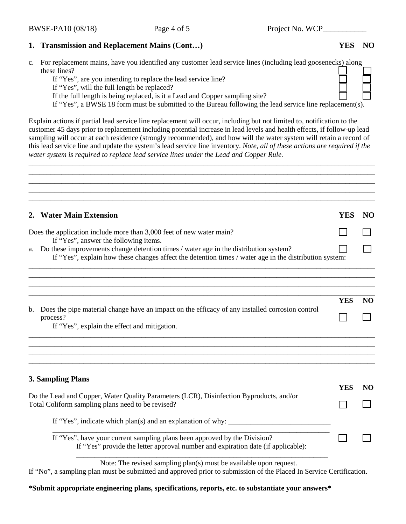## **1. Transmission and Replacement Mains (Cont…) YES NO**

c. For replacement mains, have you identified any customer lead service lines (including lead goosenecks) along these lines?

If "Yes", are you intending to replace the lead service line?

If "Yes", will the full length be replaced?

If the full length is being replaced, is it a Lead and Copper sampling site?

If "Yes", a BWSE 18 form must be submitted to the Bureau following the lead service line replacement(s).

Explain actions if partial lead service line replacement will occur, including but not limited to, notification to the customer 45 days prior to replacement including potential increase in lead levels and health effects, if follow-up lead sampling will occur at each residence (strongly recommended), and how will the water system will retain a record of this lead service line and update the system's lead service line inventory. *Note, all of these actions are required if the water system is required to replace lead service lines under the Lead and Copper Rule.*

\_\_\_\_\_\_\_\_\_\_\_\_\_\_\_\_\_\_\_\_\_\_\_\_\_\_\_\_\_\_\_\_\_\_\_\_\_\_\_\_\_\_\_\_\_\_\_\_\_\_\_\_\_\_\_\_\_\_\_\_\_\_\_\_\_\_\_\_\_\_\_\_\_\_\_\_\_\_\_\_\_\_\_\_\_\_\_\_\_\_\_\_\_\_\_ \_\_\_\_\_\_\_\_\_\_\_\_\_\_\_\_\_\_\_\_\_\_\_\_\_\_\_\_\_\_\_\_\_\_\_\_\_\_\_\_\_\_\_\_\_\_\_\_\_\_\_\_\_\_\_\_\_\_\_\_\_\_\_\_\_\_\_\_\_\_\_\_\_\_\_\_\_\_\_\_\_\_\_\_\_\_\_\_\_\_\_\_\_\_\_

|    | 2. Water Main Extension                                                                                                                                                                           | <b>YES</b> | NO              |
|----|---------------------------------------------------------------------------------------------------------------------------------------------------------------------------------------------------|------------|-----------------|
|    | Does the application include more than 3,000 feet of new water main?<br>If "Yes", answer the following items.                                                                                     |            |                 |
|    | a. Do these improvements change detention times / water age in the distribution system?<br>If "Yes", explain how these changes affect the detention times / water age in the distribution system: |            |                 |
|    |                                                                                                                                                                                                   |            |                 |
| b. | Does the pipe material change have an impact on the efficacy of any installed corrosion control                                                                                                   | <b>YES</b> | <b>NO</b>       |
|    | process?<br>If "Yes", explain the effect and mitigation.                                                                                                                                          |            |                 |
|    |                                                                                                                                                                                                   |            |                 |
|    | 3. Sampling Plans                                                                                                                                                                                 | <b>YES</b> | NO <sub>1</sub> |
|    | Do the Lead and Copper, Water Quality Parameters (LCR), Disinfection Byproducts, and/or<br>Total Coliform sampling plans need to be revised?                                                      |            |                 |
|    |                                                                                                                                                                                                   |            |                 |
|    | If "Yes", have your current sampling plans been approved by the Division?<br>If "Yes" provide the letter approval number and expiration date (if applicable):                                     |            |                 |

If "No", a sampling plan must be submitted and approved prior to submission of the Placed In Service Certification.

**\*Submit appropriate engineering plans, specifications, reports, etc. to substantiate your answers\***